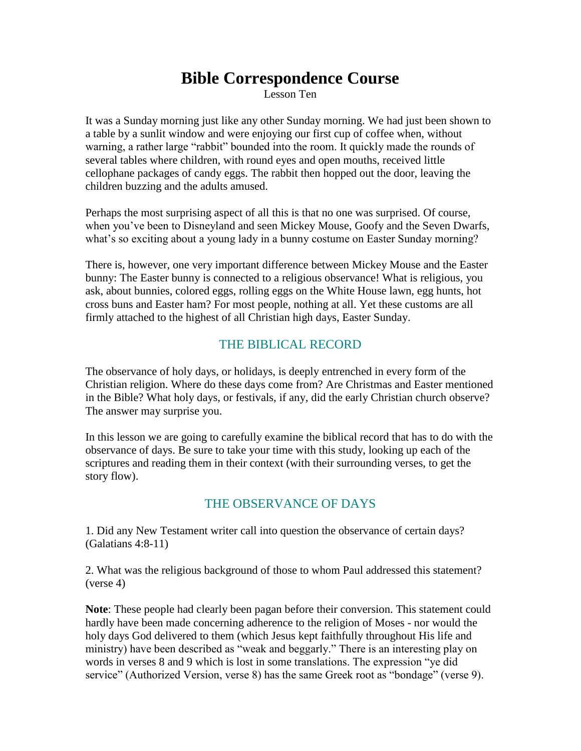# **Bible Correspondence Course**

Lesson Ten

It was a Sunday morning just like any other Sunday morning. We had just been shown to a table by a sunlit window and were enjoying our first cup of coffee when, without warning, a rather large "rabbit" bounded into the room. It quickly made the rounds of several tables where children, with round eyes and open mouths, received little cellophane packages of candy eggs. The rabbit then hopped out the door, leaving the children buzzing and the adults amused.

Perhaps the most surprising aspect of all this is that no one was surprised. Of course, when you've been to Disneyland and seen Mickey Mouse, Goofy and the Seven Dwarfs, what's so exciting about a young lady in a bunny costume on Easter Sunday morning?

There is, however, one very important difference between Mickey Mouse and the Easter bunny: The Easter bunny is connected to a religious observance! What is religious, you ask, about bunnies, colored eggs, rolling eggs on the White House lawn, egg hunts, hot cross buns and Easter ham? For most people, nothing at all. Yet these customs are all firmly attached to the highest of all Christian high days, Easter Sunday.

### THE BIBLICAL RECORD

The observance of holy days, or holidays, is deeply entrenched in every form of the Christian religion. Where do these days come from? Are Christmas and Easter mentioned in the Bible? What holy days, or festivals, if any, did the early Christian church observe? The answer may surprise you.

In this lesson we are going to carefully examine the biblical record that has to do with the observance of days. Be sure to take your time with this study, looking up each of the scriptures and reading them in their context (with their surrounding verses, to get the story flow).

### THE OBSERVANCE OF DAYS

1. Did any New Testament writer call into question the observance of certain days? (Galatians 4:8-11)

2. What was the religious background of those to whom Paul addressed this statement? (verse 4)

**Note**: These people had clearly been pagan before their conversion. This statement could hardly have been made concerning adherence to the religion of Moses - nor would the holy days God delivered to them (which Jesus kept faithfully throughout His life and ministry) have been described as "weak and beggarly." There is an interesting play on words in verses 8 and 9 which is lost in some translations. The expression "ye did service" (Authorized Version, verse 8) has the same Greek root as "bondage" (verse 9).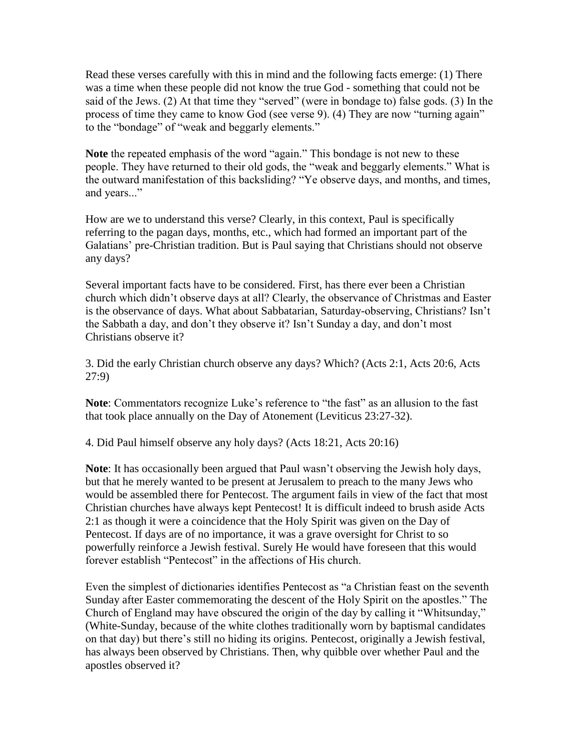Read these verses carefully with this in mind and the following facts emerge: (1) There was a time when these people did not know the true God - something that could not be said of the Jews. (2) At that time they "served" (were in bondage to) false gods. (3) In the process of time they came to know God (see verse 9). (4) They are now "turning again" to the "bondage" of "weak and beggarly elements."

**Note** the repeated emphasis of the word "again." This bondage is not new to these people. They have returned to their old gods, the "weak and beggarly elements." What is the outward manifestation of this backsliding? "Ye observe days, and months, and times, and years..."

How are we to understand this verse? Clearly, in this context, Paul is specifically referring to the pagan days, months, etc., which had formed an important part of the Galatians' pre-Christian tradition. But is Paul saying that Christians should not observe any days?

Several important facts have to be considered. First, has there ever been a Christian church which didn't observe days at all? Clearly, the observance of Christmas and Easter is the observance of days. What about Sabbatarian, Saturday-observing, Christians? Isn't the Sabbath a day, and don't they observe it? Isn't Sunday a day, and don't most Christians observe it?

3. Did the early Christian church observe any days? Which? (Acts 2:1, Acts 20:6, Acts 27:9)

**Note**: Commentators recognize Luke's reference to "the fast" as an allusion to the fast that took place annually on the Day of Atonement (Leviticus 23:27-32).

4. Did Paul himself observe any holy days? (Acts 18:21, Acts 20:16)

**Note**: It has occasionally been argued that Paul wasn't observing the Jewish holy days, but that he merely wanted to be present at Jerusalem to preach to the many Jews who would be assembled there for Pentecost. The argument fails in view of the fact that most Christian churches have always kept Pentecost! It is difficult indeed to brush aside Acts 2:1 as though it were a coincidence that the Holy Spirit was given on the Day of Pentecost. If days are of no importance, it was a grave oversight for Christ to so powerfully reinforce a Jewish festival. Surely He would have foreseen that this would forever establish "Pentecost" in the affections of His church.

Even the simplest of dictionaries identifies Pentecost as "a Christian feast on the seventh Sunday after Easter commemorating the descent of the Holy Spirit on the apostles." The Church of England may have obscured the origin of the day by calling it "Whitsunday," (White-Sunday, because of the white clothes traditionally worn by baptismal candidates on that day) but there's still no hiding its origins. Pentecost, originally a Jewish festival, has always been observed by Christians. Then, why quibble over whether Paul and the apostles observed it?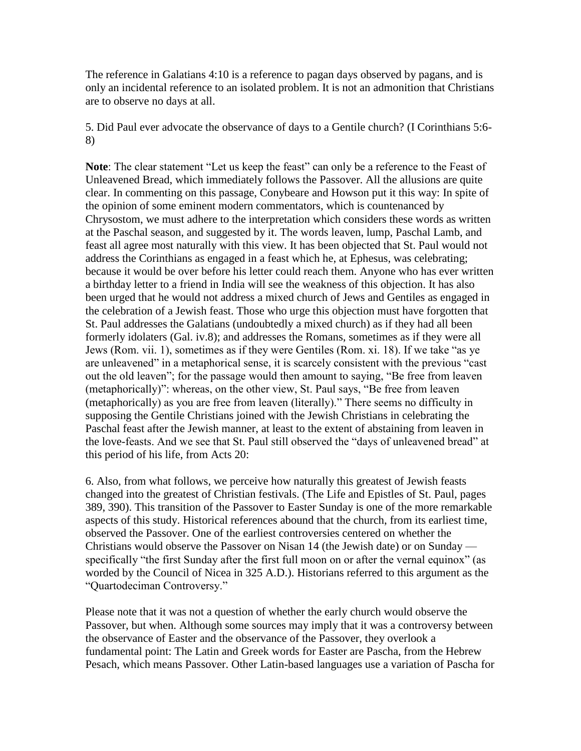The reference in Galatians 4:10 is a reference to pagan days observed by pagans, and is only an incidental reference to an isolated problem. It is not an admonition that Christians are to observe no days at all.

5. Did Paul ever advocate the observance of days to a Gentile church? (I Corinthians 5:6- 8)

**Note**: The clear statement "Let us keep the feast" can only be a reference to the Feast of Unleavened Bread, which immediately follows the Passover. All the allusions are quite clear. In commenting on this passage, Conybeare and Howson put it this way: In spite of the opinion of some eminent modern commentators, which is countenanced by Chrysostom, we must adhere to the interpretation which considers these words as written at the Paschal season, and suggested by it. The words leaven, lump, Paschal Lamb, and feast all agree most naturally with this view. It has been objected that St. Paul would not address the Corinthians as engaged in a feast which he, at Ephesus, was celebrating; because it would be over before his letter could reach them. Anyone who has ever written a birthday letter to a friend in India will see the weakness of this objection. It has also been urged that he would not address a mixed church of Jews and Gentiles as engaged in the celebration of a Jewish feast. Those who urge this objection must have forgotten that St. Paul addresses the Galatians (undoubtedly a mixed church) as if they had all been formerly idolaters (Gal. iv.8); and addresses the Romans, sometimes as if they were all Jews (Rom. vii. 1), sometimes as if they were Gentiles (Rom. xi. 18). If we take "as ye are unleavened" in a metaphorical sense, it is scarcely consistent with the previous "cast out the old leaven"; for the passage would then amount to saying, "Be free from leaven (metaphorically)": whereas, on the other view, St. Paul says, "Be free from leaven (metaphorically) as you are free from leaven (literally)." There seems no difficulty in supposing the Gentile Christians joined with the Jewish Christians in celebrating the Paschal feast after the Jewish manner, at least to the extent of abstaining from leaven in the love-feasts. And we see that St. Paul still observed the "days of unleavened bread" at this period of his life, from Acts 20:

6. Also, from what follows, we perceive how naturally this greatest of Jewish feasts changed into the greatest of Christian festivals. (The Life and Epistles of St. Paul, pages 389, 390). This transition of the Passover to Easter Sunday is one of the more remarkable aspects of this study. Historical references abound that the church, from its earliest time, observed the Passover. One of the earliest controversies centered on whether the Christians would observe the Passover on Nisan 14 (the Jewish date) or on Sunday specifically "the first Sunday after the first full moon on or after the vernal equinox" (as worded by the Council of Nicea in 325 A.D.). Historians referred to this argument as the "Quartodeciman Controversy."

Please note that it was not a question of whether the early church would observe the Passover, but when. Although some sources may imply that it was a controversy between the observance of Easter and the observance of the Passover, they overlook a fundamental point: The Latin and Greek words for Easter are Pascha, from the Hebrew Pesach, which means Passover. Other Latin-based languages use a variation of Pascha for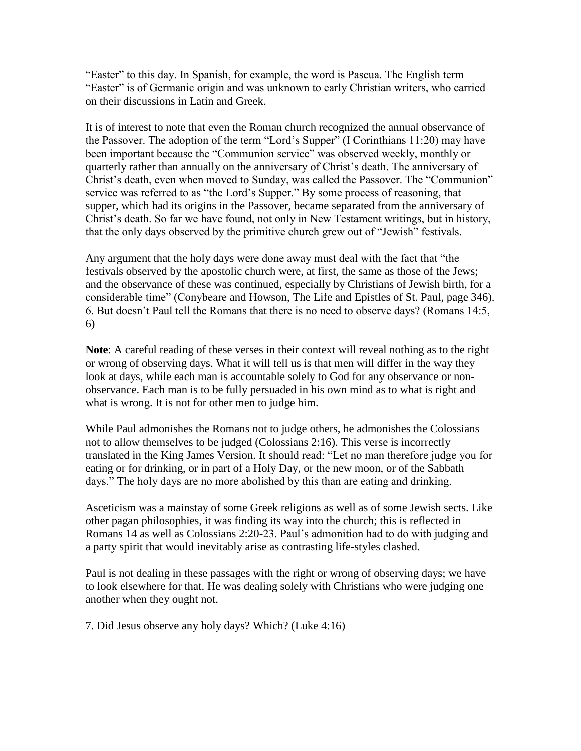"Easter" to this day. In Spanish, for example, the word is Pascua. The English term "Easter" is of Germanic origin and was unknown to early Christian writers, who carried on their discussions in Latin and Greek.

It is of interest to note that even the Roman church recognized the annual observance of the Passover. The adoption of the term "Lord's Supper" (I Corinthians 11:20) may have been important because the "Communion service" was observed weekly, monthly or quarterly rather than annually on the anniversary of Christ's death. The anniversary of Christ's death, even when moved to Sunday, was called the Passover. The "Communion" service was referred to as "the Lord's Supper." By some process of reasoning, that supper, which had its origins in the Passover, became separated from the anniversary of Christ's death. So far we have found, not only in New Testament writings, but in history, that the only days observed by the primitive church grew out of "Jewish" festivals.

Any argument that the holy days were done away must deal with the fact that "the festivals observed by the apostolic church were, at first, the same as those of the Jews; and the observance of these was continued, especially by Christians of Jewish birth, for a considerable time" (Conybeare and Howson, The Life and Epistles of St. Paul, page 346). 6. But doesn't Paul tell the Romans that there is no need to observe days? (Romans 14:5, 6)

**Note**: A careful reading of these verses in their context will reveal nothing as to the right or wrong of observing days. What it will tell us is that men will differ in the way they look at days, while each man is accountable solely to God for any observance or nonobservance. Each man is to be fully persuaded in his own mind as to what is right and what is wrong. It is not for other men to judge him.

While Paul admonishes the Romans not to judge others, he admonishes the Colossians not to allow themselves to be judged (Colossians 2:16). This verse is incorrectly translated in the King James Version. It should read: "Let no man therefore judge you for eating or for drinking, or in part of a Holy Day, or the new moon, or of the Sabbath days." The holy days are no more abolished by this than are eating and drinking.

Asceticism was a mainstay of some Greek religions as well as of some Jewish sects. Like other pagan philosophies, it was finding its way into the church; this is reflected in Romans 14 as well as Colossians 2:20-23. Paul's admonition had to do with judging and a party spirit that would inevitably arise as contrasting life-styles clashed.

Paul is not dealing in these passages with the right or wrong of observing days; we have to look elsewhere for that. He was dealing solely with Christians who were judging one another when they ought not.

7. Did Jesus observe any holy days? Which? (Luke 4:16)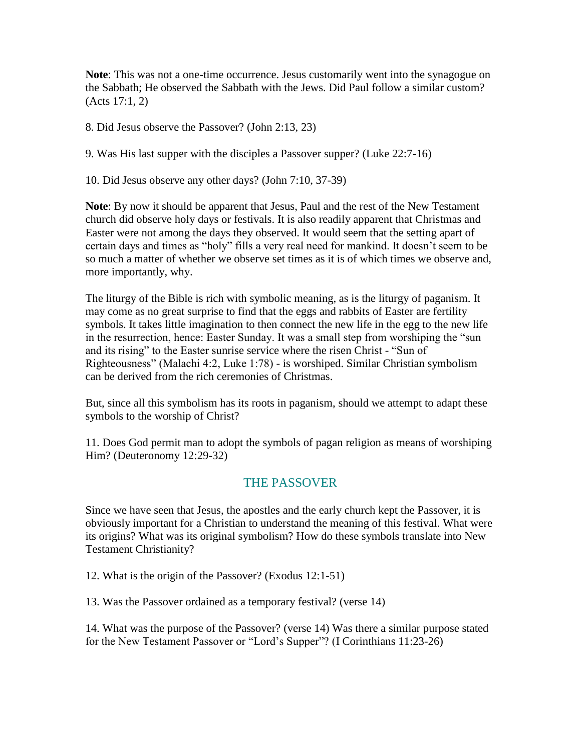**Note**: This was not a one-time occurrence. Jesus customarily went into the synagogue on the Sabbath; He observed the Sabbath with the Jews. Did Paul follow a similar custom? (Acts 17:1, 2)

8. Did Jesus observe the Passover? (John 2:13, 23)

9. Was His last supper with the disciples a Passover supper? (Luke 22:7-16)

10. Did Jesus observe any other days? (John 7:10, 37-39)

**Note**: By now it should be apparent that Jesus, Paul and the rest of the New Testament church did observe holy days or festivals. It is also readily apparent that Christmas and Easter were not among the days they observed. It would seem that the setting apart of certain days and times as "holy" fills a very real need for mankind. It doesn't seem to be so much a matter of whether we observe set times as it is of which times we observe and, more importantly, why.

The liturgy of the Bible is rich with symbolic meaning, as is the liturgy of paganism. It may come as no great surprise to find that the eggs and rabbits of Easter are fertility symbols. It takes little imagination to then connect the new life in the egg to the new life in the resurrection, hence: Easter Sunday. It was a small step from worshiping the "sun and its rising" to the Easter sunrise service where the risen Christ - "Sun of Righteousness" (Malachi 4:2, Luke 1:78) - is worshiped. Similar Christian symbolism can be derived from the rich ceremonies of Christmas.

But, since all this symbolism has its roots in paganism, should we attempt to adapt these symbols to the worship of Christ?

11. Does God permit man to adopt the symbols of pagan religion as means of worshiping Him? (Deuteronomy 12:29-32)

#### THE PASSOVER

Since we have seen that Jesus, the apostles and the early church kept the Passover, it is obviously important for a Christian to understand the meaning of this festival. What were its origins? What was its original symbolism? How do these symbols translate into New Testament Christianity?

12. What is the origin of the Passover? (Exodus 12:1-51)

13. Was the Passover ordained as a temporary festival? (verse 14)

14. What was the purpose of the Passover? (verse 14) Was there a similar purpose stated for the New Testament Passover or "Lord's Supper"? (I Corinthians 11:23-26)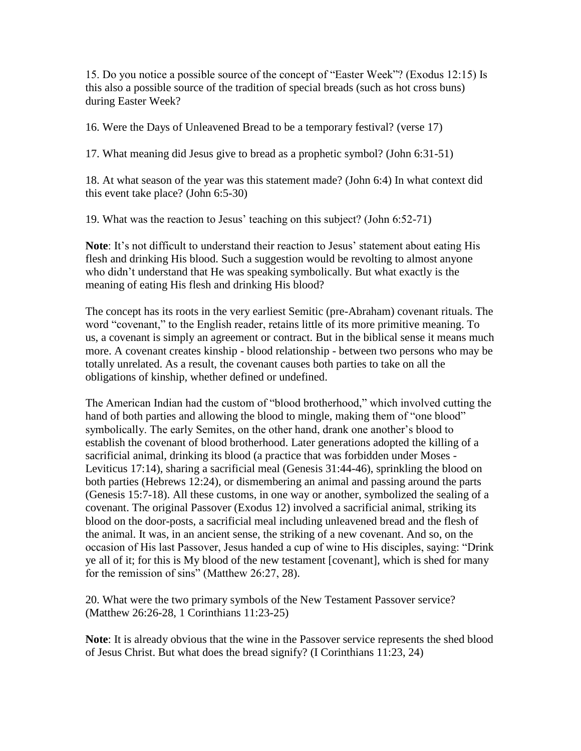15. Do you notice a possible source of the concept of "Easter Week"? (Exodus 12:15) Is this also a possible source of the tradition of special breads (such as hot cross buns) during Easter Week?

16. Were the Days of Unleavened Bread to be a temporary festival? (verse 17)

17. What meaning did Jesus give to bread as a prophetic symbol? (John 6:31-51)

18. At what season of the year was this statement made? (John 6:4) In what context did this event take place? (John 6:5-30)

19. What was the reaction to Jesus' teaching on this subject? (John 6:52-71)

**Note**: It's not difficult to understand their reaction to Jesus' statement about eating His flesh and drinking His blood. Such a suggestion would be revolting to almost anyone who didn't understand that He was speaking symbolically. But what exactly is the meaning of eating His flesh and drinking His blood?

The concept has its roots in the very earliest Semitic (pre-Abraham) covenant rituals. The word "covenant," to the English reader, retains little of its more primitive meaning. To us, a covenant is simply an agreement or contract. But in the biblical sense it means much more. A covenant creates kinship - blood relationship - between two persons who may be totally unrelated. As a result, the covenant causes both parties to take on all the obligations of kinship, whether defined or undefined.

The American Indian had the custom of "blood brotherhood," which involved cutting the hand of both parties and allowing the blood to mingle, making them of "one blood" symbolically. The early Semites, on the other hand, drank one another's blood to establish the covenant of blood brotherhood. Later generations adopted the killing of a sacrificial animal, drinking its blood (a practice that was forbidden under Moses - Leviticus 17:14), sharing a sacrificial meal (Genesis 31:44-46), sprinkling the blood on both parties (Hebrews 12:24), or dismembering an animal and passing around the parts (Genesis 15:7-18). All these customs, in one way or another, symbolized the sealing of a covenant. The original Passover (Exodus 12) involved a sacrificial animal, striking its blood on the door-posts, a sacrificial meal including unleavened bread and the flesh of the animal. It was, in an ancient sense, the striking of a new covenant. And so, on the occasion of His last Passover, Jesus handed a cup of wine to His disciples, saying: "Drink ye all of it; for this is My blood of the new testament [covenant], which is shed for many for the remission of sins" (Matthew 26:27, 28).

20. What were the two primary symbols of the New Testament Passover service? (Matthew 26:26-28, 1 Corinthians 11:23-25)

**Note**: It is already obvious that the wine in the Passover service represents the shed blood of Jesus Christ. But what does the bread signify? (I Corinthians 11:23, 24)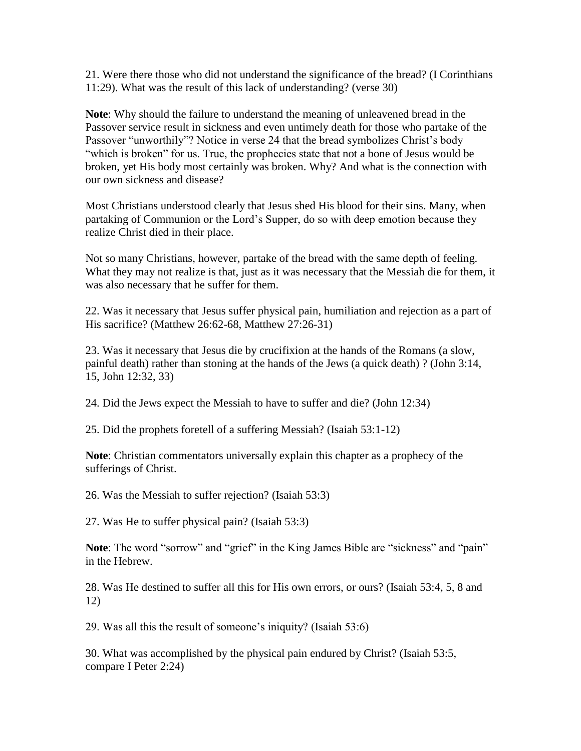21. Were there those who did not understand the significance of the bread? (I Corinthians 11:29). What was the result of this lack of understanding? (verse 30)

**Note**: Why should the failure to understand the meaning of unleavened bread in the Passover service result in sickness and even untimely death for those who partake of the Passover "unworthily"? Notice in verse 24 that the bread symbolizes Christ's body "which is broken" for us. True, the prophecies state that not a bone of Jesus would be broken, yet His body most certainly was broken. Why? And what is the connection with our own sickness and disease?

Most Christians understood clearly that Jesus shed His blood for their sins. Many, when partaking of Communion or the Lord's Supper, do so with deep emotion because they realize Christ died in their place.

Not so many Christians, however, partake of the bread with the same depth of feeling. What they may not realize is that, just as it was necessary that the Messiah die for them, it was also necessary that he suffer for them.

22. Was it necessary that Jesus suffer physical pain, humiliation and rejection as a part of His sacrifice? (Matthew 26:62-68, Matthew 27:26-31)

23. Was it necessary that Jesus die by crucifixion at the hands of the Romans (a slow, painful death) rather than stoning at the hands of the Jews (a quick death) ? (John 3:14, 15, John 12:32, 33)

24. Did the Jews expect the Messiah to have to suffer and die? (John 12:34)

25. Did the prophets foretell of a suffering Messiah? (Isaiah 53:1-12)

**Note**: Christian commentators universally explain this chapter as a prophecy of the sufferings of Christ.

26. Was the Messiah to suffer rejection? (Isaiah 53:3)

27. Was He to suffer physical pain? (Isaiah 53:3)

**Note**: The word "sorrow" and "grief" in the King James Bible are "sickness" and "pain" in the Hebrew.

28. Was He destined to suffer all this for His own errors, or ours? (Isaiah 53:4, 5, 8 and 12)

29. Was all this the result of someone's iniquity? (Isaiah 53:6)

30. What was accomplished by the physical pain endured by Christ? (Isaiah 53:5, compare I Peter 2:24)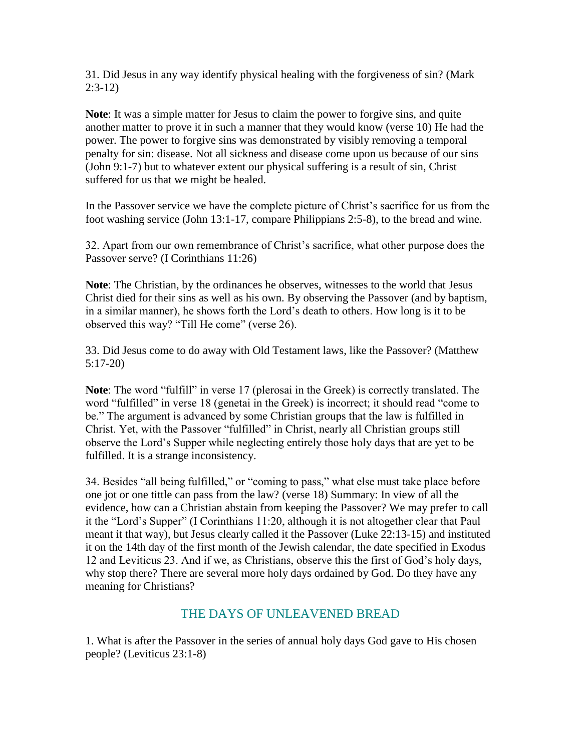31. Did Jesus in any way identify physical healing with the forgiveness of sin? (Mark 2:3-12)

**Note**: It was a simple matter for Jesus to claim the power to forgive sins, and quite another matter to prove it in such a manner that they would know (verse 10) He had the power. The power to forgive sins was demonstrated by visibly removing a temporal penalty for sin: disease. Not all sickness and disease come upon us because of our sins (John 9:1-7) but to whatever extent our physical suffering is a result of sin, Christ suffered for us that we might be healed.

In the Passover service we have the complete picture of Christ's sacrifice for us from the foot washing service (John 13:1-17, compare Philippians 2:5-8), to the bread and wine.

32. Apart from our own remembrance of Christ's sacrifice, what other purpose does the Passover serve? (I Corinthians 11:26)

**Note**: The Christian, by the ordinances he observes, witnesses to the world that Jesus Christ died for their sins as well as his own. By observing the Passover (and by baptism, in a similar manner), he shows forth the Lord's death to others. How long is it to be observed this way? "Till He come" (verse 26).

33. Did Jesus come to do away with Old Testament laws, like the Passover? (Matthew 5:17-20)

**Note**: The word "fulfill" in verse 17 (plerosai in the Greek) is correctly translated. The word "fulfilled" in verse 18 (genetai in the Greek) is incorrect; it should read "come to be." The argument is advanced by some Christian groups that the law is fulfilled in Christ. Yet, with the Passover "fulfilled" in Christ, nearly all Christian groups still observe the Lord's Supper while neglecting entirely those holy days that are yet to be fulfilled. It is a strange inconsistency.

34. Besides "all being fulfilled," or "coming to pass," what else must take place before one jot or one tittle can pass from the law? (verse 18) Summary: In view of all the evidence, how can a Christian abstain from keeping the Passover? We may prefer to call it the "Lord's Supper" (I Corinthians 11:20, although it is not altogether clear that Paul meant it that way), but Jesus clearly called it the Passover (Luke 22:13-15) and instituted it on the 14th day of the first month of the Jewish calendar, the date specified in Exodus 12 and Leviticus 23. And if we, as Christians, observe this the first of God's holy days, why stop there? There are several more holy days ordained by God. Do they have any meaning for Christians?

### THE DAYS OF UNLEAVENED BREAD

1. What is after the Passover in the series of annual holy days God gave to His chosen people? (Leviticus 23:1-8)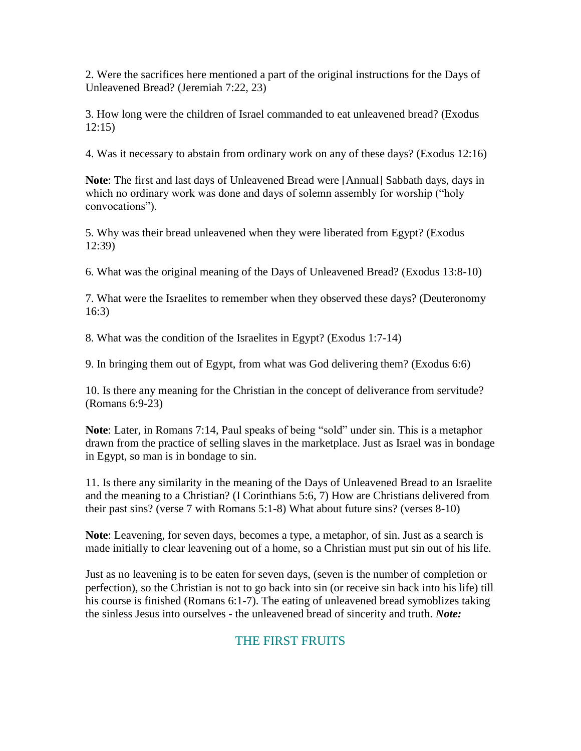2. Were the sacrifices here mentioned a part of the original instructions for the Days of Unleavened Bread? (Jeremiah 7:22, 23)

3. How long were the children of Israel commanded to eat unleavened bread? (Exodus 12:15)

4. Was it necessary to abstain from ordinary work on any of these days? (Exodus 12:16)

**Note**: The first and last days of Unleavened Bread were [Annual] Sabbath days, days in which no ordinary work was done and days of solemn assembly for worship ("holy" convocations").

5. Why was their bread unleavened when they were liberated from Egypt? (Exodus 12:39)

6. What was the original meaning of the Days of Unleavened Bread? (Exodus 13:8-10)

7. What were the Israelites to remember when they observed these days? (Deuteronomy 16:3)

8. What was the condition of the Israelites in Egypt? (Exodus 1:7-14)

9. In bringing them out of Egypt, from what was God delivering them? (Exodus 6:6)

10. Is there any meaning for the Christian in the concept of deliverance from servitude? (Romans 6:9-23)

**Note**: Later, in Romans 7:14, Paul speaks of being "sold" under sin. This is a metaphor drawn from the practice of selling slaves in the marketplace. Just as Israel was in bondage in Egypt, so man is in bondage to sin.

11. Is there any similarity in the meaning of the Days of Unleavened Bread to an Israelite and the meaning to a Christian? (I Corinthians 5:6, 7) How are Christians delivered from their past sins? (verse 7 with Romans 5:1-8) What about future sins? (verses 8-10)

**Note**: Leavening, for seven days, becomes a type, a metaphor, of sin. Just as a search is made initially to clear leavening out of a home, so a Christian must put sin out of his life.

Just as no leavening is to be eaten for seven days, (seven is the number of completion or perfection), so the Christian is not to go back into sin (or receive sin back into his life) till his course is finished (Romans 6:1-7). The eating of unleavened bread symoblizes taking the sinless Jesus into ourselves - the unleavened bread of sincerity and truth. *Note:*

## THE FIRST FRUITS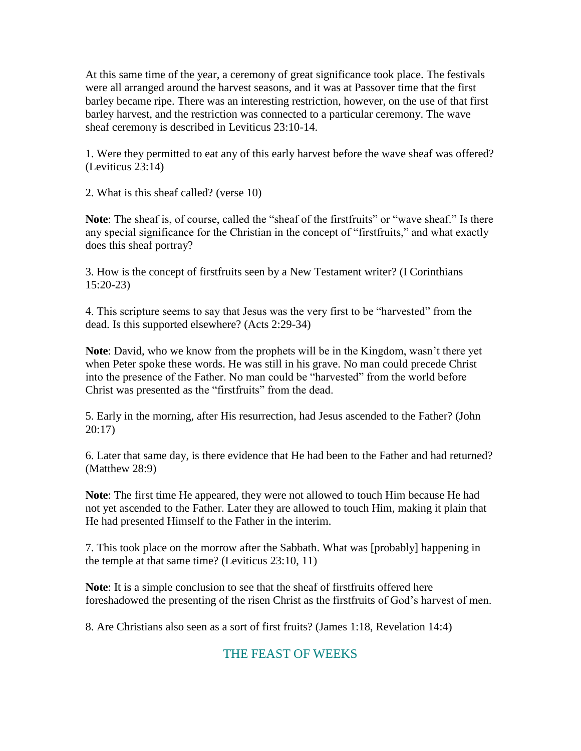At this same time of the year, a ceremony of great significance took place. The festivals were all arranged around the harvest seasons, and it was at Passover time that the first barley became ripe. There was an interesting restriction, however, on the use of that first barley harvest, and the restriction was connected to a particular ceremony. The wave sheaf ceremony is described in Leviticus 23:10-14.

1. Were they permitted to eat any of this early harvest before the wave sheaf was offered? (Leviticus 23:14)

2. What is this sheaf called? (verse 10)

**Note**: The sheaf is, of course, called the "sheaf of the firstfruits" or "wave sheaf." Is there any special significance for the Christian in the concept of "firstfruits," and what exactly does this sheaf portray?

3. How is the concept of firstfruits seen by a New Testament writer? (I Corinthians 15:20-23)

4. This scripture seems to say that Jesus was the very first to be "harvested" from the dead. Is this supported elsewhere? (Acts 2:29-34)

**Note**: David, who we know from the prophets will be in the Kingdom, wasn't there yet when Peter spoke these words. He was still in his grave. No man could precede Christ into the presence of the Father. No man could be "harvested" from the world before Christ was presented as the "firstfruits" from the dead.

5. Early in the morning, after His resurrection, had Jesus ascended to the Father? (John 20:17)

6. Later that same day, is there evidence that He had been to the Father and had returned? (Matthew 28:9)

**Note**: The first time He appeared, they were not allowed to touch Him because He had not yet ascended to the Father. Later they are allowed to touch Him, making it plain that He had presented Himself to the Father in the interim.

7. This took place on the morrow after the Sabbath. What was [probably] happening in the temple at that same time? (Leviticus 23:10, 11)

**Note**: It is a simple conclusion to see that the sheaf of firstfruits offered here foreshadowed the presenting of the risen Christ as the firstfruits of God's harvest of men.

8. Are Christians also seen as a sort of first fruits? (James 1:18, Revelation 14:4)

## THE FEAST OF WEEKS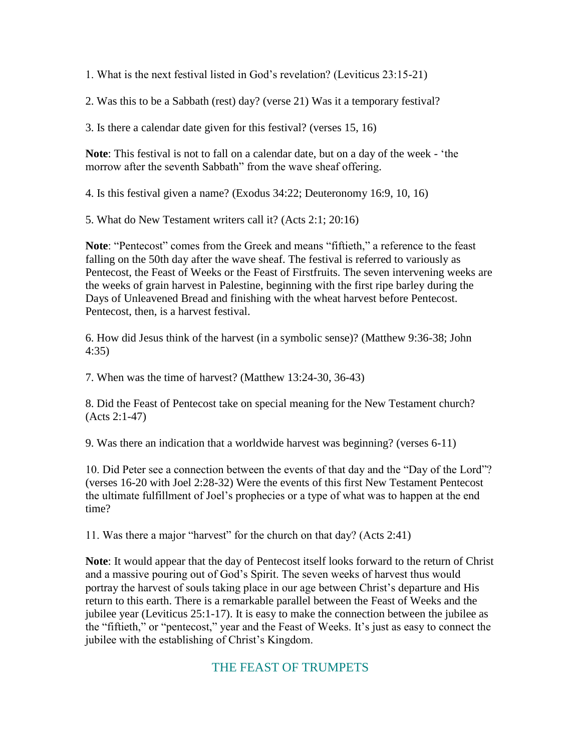1. What is the next festival listed in God's revelation? (Leviticus 23:15-21)

2. Was this to be a Sabbath (rest) day? (verse 21) Was it a temporary festival?

3. Is there a calendar date given for this festival? (verses 15, 16)

**Note**: This festival is not to fall on a calendar date, but on a day of the week - 'the morrow after the seventh Sabbath" from the wave sheaf offering.

4. Is this festival given a name? (Exodus 34:22; Deuteronomy 16:9, 10, 16)

5. What do New Testament writers call it? (Acts 2:1; 20:16)

**Note**: "Pentecost" comes from the Greek and means "fiftieth," a reference to the feast falling on the 50th day after the wave sheaf. The festival is referred to variously as Pentecost, the Feast of Weeks or the Feast of Firstfruits. The seven intervening weeks are the weeks of grain harvest in Palestine, beginning with the first ripe barley during the Days of Unleavened Bread and finishing with the wheat harvest before Pentecost. Pentecost, then, is a harvest festival.

6. How did Jesus think of the harvest (in a symbolic sense)? (Matthew 9:36-38; John 4:35)

7. When was the time of harvest? (Matthew 13:24-30, 36-43)

8. Did the Feast of Pentecost take on special meaning for the New Testament church? (Acts 2:1-47)

9. Was there an indication that a worldwide harvest was beginning? (verses 6-11)

10. Did Peter see a connection between the events of that day and the "Day of the Lord"? (verses 16-20 with Joel 2:28-32) Were the events of this first New Testament Pentecost the ultimate fulfillment of Joel's prophecies or a type of what was to happen at the end time?

11. Was there a major "harvest" for the church on that day? (Acts 2:41)

**Note**: It would appear that the day of Pentecost itself looks forward to the return of Christ and a massive pouring out of God's Spirit. The seven weeks of harvest thus would portray the harvest of souls taking place in our age between Christ's departure and His return to this earth. There is a remarkable parallel between the Feast of Weeks and the jubilee year (Leviticus 25:1-17). It is easy to make the connection between the jubilee as the "fiftieth," or "pentecost," year and the Feast of Weeks. It's just as easy to connect the jubilee with the establishing of Christ's Kingdom.

#### THE FEAST OF TRUMPETS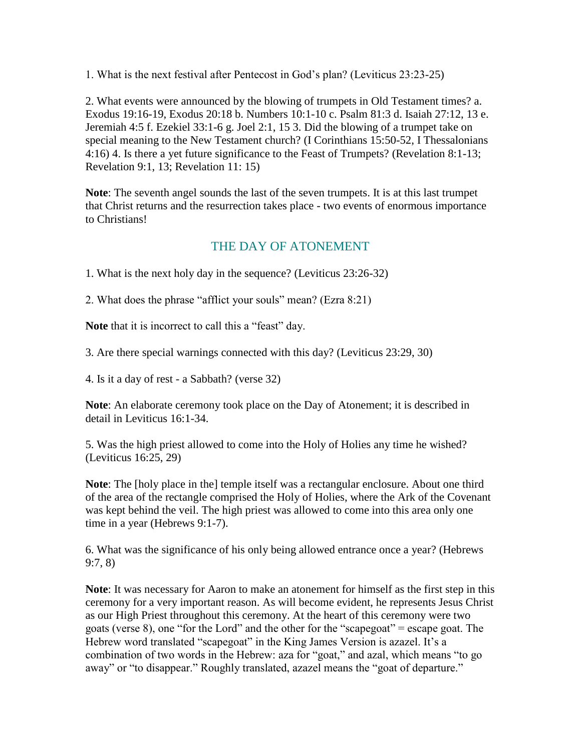1. What is the next festival after Pentecost in God's plan? (Leviticus 23:23-25)

2. What events were announced by the blowing of trumpets in Old Testament times? a. Exodus 19:16-19, Exodus 20:18 b. Numbers 10:1-10 c. Psalm 81:3 d. Isaiah 27:12, 13 e. Jeremiah 4:5 f. Ezekiel 33:1-6 g. Joel 2:1, 15 3. Did the blowing of a trumpet take on special meaning to the New Testament church? (I Corinthians 15:50-52, I Thessalonians 4:16) 4. Is there a yet future significance to the Feast of Trumpets? (Revelation 8:1-13; Revelation 9:1, 13; Revelation 11: 15)

**Note**: The seventh angel sounds the last of the seven trumpets. It is at this last trumpet that Christ returns and the resurrection takes place - two events of enormous importance to Christians!

### THE DAY OF ATONEMENT

1. What is the next holy day in the sequence? (Leviticus 23:26-32)

2. What does the phrase "afflict your souls" mean? (Ezra 8:21)

**Note** that it is incorrect to call this a "feast" day.

3. Are there special warnings connected with this day? (Leviticus 23:29, 30)

4. Is it a day of rest - a Sabbath? (verse 32)

**Note**: An elaborate ceremony took place on the Day of Atonement; it is described in detail in Leviticus 16:1-34.

5. Was the high priest allowed to come into the Holy of Holies any time he wished? (Leviticus 16:25, 29)

**Note**: The [holy place in the] temple itself was a rectangular enclosure. About one third of the area of the rectangle comprised the Holy of Holies, where the Ark of the Covenant was kept behind the veil. The high priest was allowed to come into this area only one time in a year (Hebrews 9:1-7).

6. What was the significance of his only being allowed entrance once a year? (Hebrews 9:7, 8)

**Note**: It was necessary for Aaron to make an atonement for himself as the first step in this ceremony for a very important reason. As will become evident, he represents Jesus Christ as our High Priest throughout this ceremony. At the heart of this ceremony were two goats (verse 8), one "for the Lord" and the other for the "scapegoat" = escape goat. The Hebrew word translated "scapegoat" in the King James Version is azazel. It's a combination of two words in the Hebrew: aza for "goat," and azal, which means "to go away" or "to disappear." Roughly translated, azazel means the "goat of departure."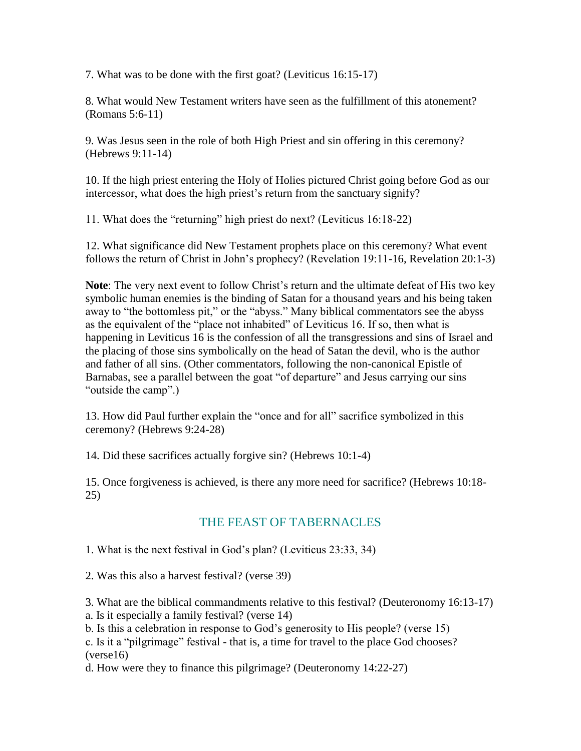7. What was to be done with the first goat? (Leviticus 16:15-17)

8. What would New Testament writers have seen as the fulfillment of this atonement? (Romans 5:6-11)

9. Was Jesus seen in the role of both High Priest and sin offering in this ceremony? (Hebrews 9:11-14)

10. If the high priest entering the Holy of Holies pictured Christ going before God as our intercessor, what does the high priest's return from the sanctuary signify?

11. What does the "returning" high priest do next? (Leviticus 16:18-22)

12. What significance did New Testament prophets place on this ceremony? What event follows the return of Christ in John's prophecy? (Revelation 19:11-16, Revelation 20:1-3)

**Note**: The very next event to follow Christ's return and the ultimate defeat of His two key symbolic human enemies is the binding of Satan for a thousand years and his being taken away to "the bottomless pit," or the "abyss." Many biblical commentators see the abyss as the equivalent of the "place not inhabited" of Leviticus 16. If so, then what is happening in Leviticus 16 is the confession of all the transgressions and sins of Israel and the placing of those sins symbolically on the head of Satan the devil, who is the author and father of all sins. (Other commentators, following the non-canonical Epistle of Barnabas, see a parallel between the goat "of departure" and Jesus carrying our sins "outside the camp".)

13. How did Paul further explain the "once and for all" sacrifice symbolized in this ceremony? (Hebrews 9:24-28)

14. Did these sacrifices actually forgive sin? (Hebrews 10:1-4)

15. Once forgiveness is achieved, is there any more need for sacrifice? (Hebrews 10:18- 25)

## THE FEAST OF TABERNACLES

1. What is the next festival in God's plan? (Leviticus 23:33, 34)

2. Was this also a harvest festival? (verse 39)

3. What are the biblical commandments relative to this festival? (Deuteronomy 16:13-17)

a. Is it especially a family festival? (verse 14)

b. Is this a celebration in response to God's generosity to His people? (verse 15)

c. Is it a "pilgrimage" festival - that is, a time for travel to the place God chooses?  $(verse16)$ 

d. How were they to finance this pilgrimage? (Deuteronomy 14:22-27)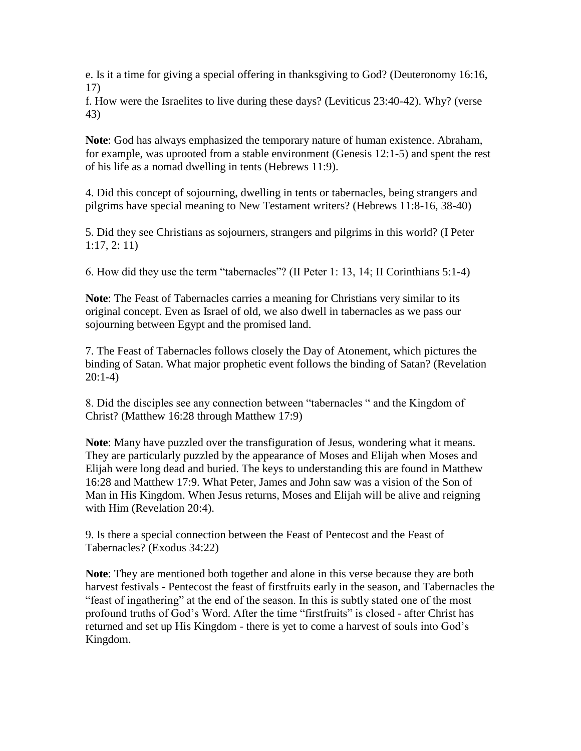e. Is it a time for giving a special offering in thanksgiving to God? (Deuteronomy 16:16, 17)

f. How were the Israelites to live during these days? (Leviticus 23:40-42). Why? (verse 43)

**Note**: God has always emphasized the temporary nature of human existence. Abraham, for example, was uprooted from a stable environment (Genesis 12:1-5) and spent the rest of his life as a nomad dwelling in tents (Hebrews 11:9).

4. Did this concept of sojourning, dwelling in tents or tabernacles, being strangers and pilgrims have special meaning to New Testament writers? (Hebrews 11:8-16, 38-40)

5. Did they see Christians as sojourners, strangers and pilgrims in this world? (I Peter 1:17, 2: 11)

6. How did they use the term "tabernacles"? (II Peter 1: 13, 14; II Corinthians 5:1-4)

**Note**: The Feast of Tabernacles carries a meaning for Christians very similar to its original concept. Even as Israel of old, we also dwell in tabernacles as we pass our sojourning between Egypt and the promised land.

7. The Feast of Tabernacles follows closely the Day of Atonement, which pictures the binding of Satan. What major prophetic event follows the binding of Satan? (Revelation 20:1-4)

8. Did the disciples see any connection between "tabernacles " and the Kingdom of Christ? (Matthew 16:28 through Matthew 17:9)

**Note**: Many have puzzled over the transfiguration of Jesus, wondering what it means. They are particularly puzzled by the appearance of Moses and Elijah when Moses and Elijah were long dead and buried. The keys to understanding this are found in Matthew 16:28 and Matthew 17:9. What Peter, James and John saw was a vision of the Son of Man in His Kingdom. When Jesus returns, Moses and Elijah will be alive and reigning with Him (Revelation 20:4).

9. Is there a special connection between the Feast of Pentecost and the Feast of Tabernacles? (Exodus 34:22)

**Note**: They are mentioned both together and alone in this verse because they are both harvest festivals - Pentecost the feast of firstfruits early in the season, and Tabernacles the "feast of ingathering" at the end of the season. In this is subtly stated one of the most profound truths of God's Word. After the time "firstfruits" is closed - after Christ has returned and set up His Kingdom - there is yet to come a harvest of souls into God's Kingdom.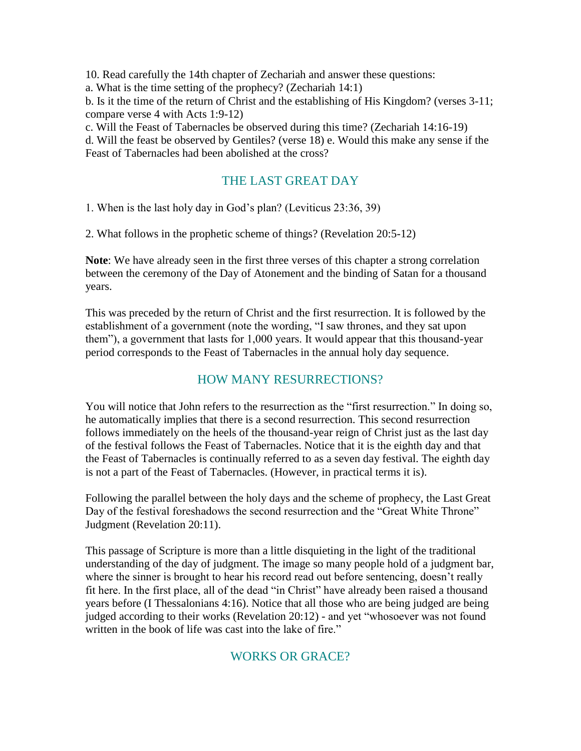10. Read carefully the 14th chapter of Zechariah and answer these questions:

a. What is the time setting of the prophecy? (Zechariah 14:1)

b. Is it the time of the return of Christ and the establishing of His Kingdom? (verses 3-11; compare verse 4 with Acts 1:9-12)

c. Will the Feast of Tabernacles be observed during this time? (Zechariah 14:16-19)

d. Will the feast be observed by Gentiles? (verse 18) e. Would this make any sense if the Feast of Tabernacles had been abolished at the cross?

### THE LAST GREAT DAY

1. When is the last holy day in God's plan? (Leviticus 23:36, 39)

2. What follows in the prophetic scheme of things? (Revelation 20:5-12)

**Note**: We have already seen in the first three verses of this chapter a strong correlation between the ceremony of the Day of Atonement and the binding of Satan for a thousand years.

This was preceded by the return of Christ and the first resurrection. It is followed by the establishment of a government (note the wording, "I saw thrones, and they sat upon them"), a government that lasts for 1,000 years. It would appear that this thousand-year period corresponds to the Feast of Tabernacles in the annual holy day sequence.

### HOW MANY RESURRECTIONS?

You will notice that John refers to the resurrection as the "first resurrection." In doing so, he automatically implies that there is a second resurrection. This second resurrection follows immediately on the heels of the thousand-year reign of Christ just as the last day of the festival follows the Feast of Tabernacles. Notice that it is the eighth day and that the Feast of Tabernacles is continually referred to as a seven day festival. The eighth day is not a part of the Feast of Tabernacles. (However, in practical terms it is).

Following the parallel between the holy days and the scheme of prophecy, the Last Great Day of the festival foreshadows the second resurrection and the "Great White Throne" Judgment (Revelation 20:11).

This passage of Scripture is more than a little disquieting in the light of the traditional understanding of the day of judgment. The image so many people hold of a judgment bar, where the sinner is brought to hear his record read out before sentencing, doesn't really fit here. In the first place, all of the dead "in Christ" have already been raised a thousand years before (I Thessalonians 4:16). Notice that all those who are being judged are being judged according to their works (Revelation 20:12) - and yet "whosoever was not found written in the book of life was cast into the lake of fire."

### WORKS OR GRACE?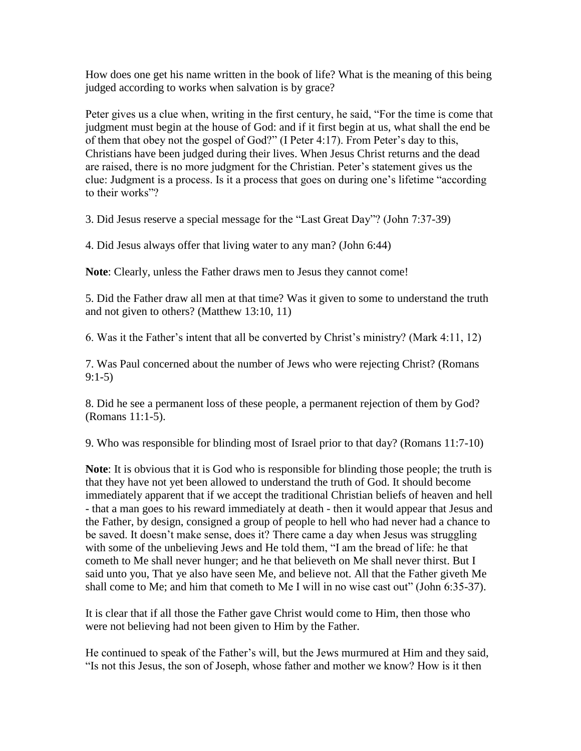How does one get his name written in the book of life? What is the meaning of this being judged according to works when salvation is by grace?

Peter gives us a clue when, writing in the first century, he said, "For the time is come that judgment must begin at the house of God: and if it first begin at us, what shall the end be of them that obey not the gospel of God?" (I Peter 4:17). From Peter's day to this, Christians have been judged during their lives. When Jesus Christ returns and the dead are raised, there is no more judgment for the Christian. Peter's statement gives us the clue: Judgment is a process. Is it a process that goes on during one's lifetime "according to their works"?

3. Did Jesus reserve a special message for the "Last Great Day"? (John 7:37-39)

4. Did Jesus always offer that living water to any man? (John 6:44)

**Note**: Clearly, unless the Father draws men to Jesus they cannot come!

5. Did the Father draw all men at that time? Was it given to some to understand the truth and not given to others? (Matthew 13:10, 11)

6. Was it the Father's intent that all be converted by Christ's ministry? (Mark 4:11, 12)

7. Was Paul concerned about the number of Jews who were rejecting Christ? (Romans 9:1-5)

8. Did he see a permanent loss of these people, a permanent rejection of them by God? (Romans 11:1-5).

9. Who was responsible for blinding most of Israel prior to that day? (Romans 11:7-10)

**Note**: It is obvious that it is God who is responsible for blinding those people; the truth is that they have not yet been allowed to understand the truth of God. It should become immediately apparent that if we accept the traditional Christian beliefs of heaven and hell - that a man goes to his reward immediately at death - then it would appear that Jesus and the Father, by design, consigned a group of people to hell who had never had a chance to be saved. It doesn't make sense, does it? There came a day when Jesus was struggling with some of the unbelieving Jews and He told them, "I am the bread of life: he that cometh to Me shall never hunger; and he that believeth on Me shall never thirst. But I said unto you, That ye also have seen Me, and believe not. All that the Father giveth Me shall come to Me; and him that cometh to Me I will in no wise cast out" (John 6:35-37).

It is clear that if all those the Father gave Christ would come to Him, then those who were not believing had not been given to Him by the Father.

He continued to speak of the Father's will, but the Jews murmured at Him and they said, "Is not this Jesus, the son of Joseph, whose father and mother we know? How is it then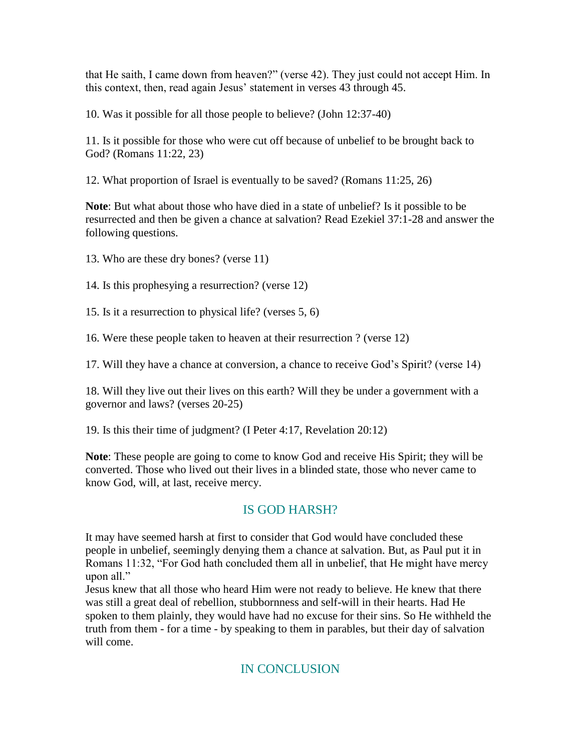that He saith, I came down from heaven?" (verse 42). They just could not accept Him. In this context, then, read again Jesus' statement in verses 43 through 45.

10. Was it possible for all those people to believe? (John 12:37-40)

11. Is it possible for those who were cut off because of unbelief to be brought back to God? (Romans 11:22, 23)

12. What proportion of Israel is eventually to be saved? (Romans 11:25, 26)

**Note**: But what about those who have died in a state of unbelief? Is it possible to be resurrected and then be given a chance at salvation? Read Ezekiel 37:1-28 and answer the following questions.

13. Who are these dry bones? (verse 11)

14. Is this prophesying a resurrection? (verse 12)

15. Is it a resurrection to physical life? (verses 5, 6)

16. Were these people taken to heaven at their resurrection ? (verse 12)

17. Will they have a chance at conversion, a chance to receive God's Spirit? (verse 14)

18. Will they live out their lives on this earth? Will they be under a government with a governor and laws? (verses 20-25)

19. Is this their time of judgment? (I Peter 4:17, Revelation 20:12)

**Note**: These people are going to come to know God and receive His Spirit; they will be converted. Those who lived out their lives in a blinded state, those who never came to know God, will, at last, receive mercy.

### IS GOD HARSH?

It may have seemed harsh at first to consider that God would have concluded these people in unbelief, seemingly denying them a chance at salvation. But, as Paul put it in Romans 11:32, "For God hath concluded them all in unbelief, that He might have mercy upon all."

Jesus knew that all those who heard Him were not ready to believe. He knew that there was still a great deal of rebellion, stubbornness and self-will in their hearts. Had He spoken to them plainly, they would have had no excuse for their sins. So He withheld the truth from them - for a time - by speaking to them in parables, but their day of salvation will come.

### IN CONCLUSION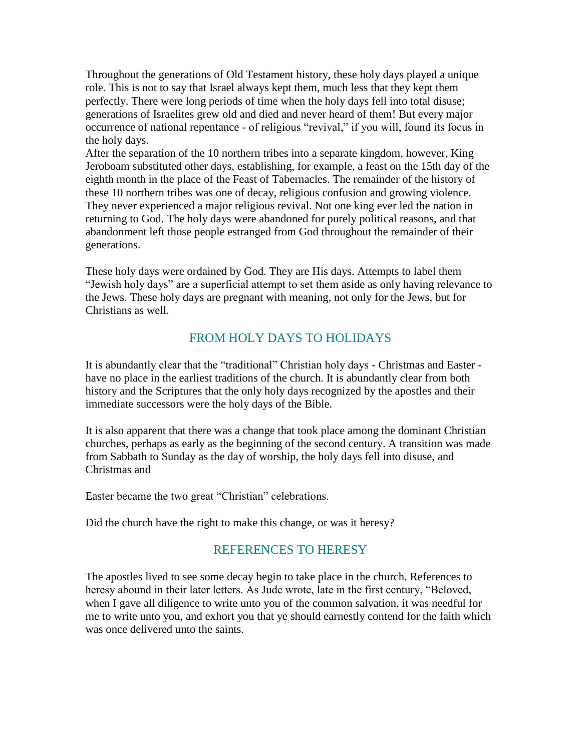Throughout the generations of Old Testament history, these holy days played a unique role. This is not to say that Israel always kept them, much less that they kept them perfectly. There were long periods of time when the holy days fell into total disuse; generations of Israelites grew old and died and never heard of them! But every major occurrence of national repentance - of religious "revival," if you will, found its focus in the holy days.

After the separation of the 10 northern tribes into a separate kingdom, however, King Jeroboam substituted other days, establishing, for example, a feast on the 15th day of the eighth month in the place of the Feast of Tabernacles. The remainder of the history of these 10 northern tribes was one of decay, religious confusion and growing violence. They never experienced a major religious revival. Not one king ever led the nation in returning to God. The holy days were abandoned for purely political reasons, and that abandonment left those people estranged from God throughout the remainder of their generations.

These holy days were ordained by God. They are His days. Attempts to label them "Jewish holy days" are a superficial attempt to set them aside as only having relevance to the Jews. These holy days are pregnant with meaning, not only for the Jews, but for Christians as well.

### FROM HOLY DAYS TO HOLIDAYS

It is abundantly clear that the "traditional" Christian holy days - Christmas and Easter have no place in the earliest traditions of the church. It is abundantly clear from both history and the Scriptures that the only holy days recognized by the apostles and their immediate successors were the holy days of the Bible.

It is also apparent that there was a change that took place among the dominant Christian churches, perhaps as early as the beginning of the second century. A transition was made from Sabbath to Sunday as the day of worship, the holy days fell into disuse, and Christmas and

Easter became the two great "Christian" celebrations.

Did the church have the right to make this change, or was it heresy?

#### REFERENCES TO HERESY

The apostles lived to see some decay begin to take place in the church. References to heresy abound in their later letters. As Jude wrote, late in the first century, "Beloved, when I gave all diligence to write unto you of the common salvation, it was needful for me to write unto you, and exhort you that ye should earnestly contend for the faith which was once delivered unto the saints.